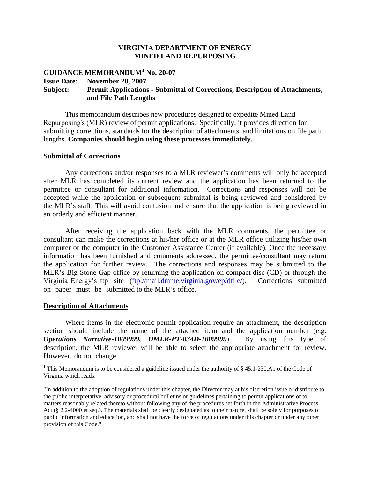### **VIRGINIA DEPARTMENT OF ENERGY MINED LAND REPURPOSING**

# **GUIDANCE MEMORANDUM<sup>1</sup> No. 20-07 Issue Date: November 28, 2007 Subject: Permit Applications - Submittal of Corrections, Description of Attachments, and File Path Lengths**

This memorandum describes new procedures designed to expedite Mined Land Repurposing's (MLR) review of permit applications. Specifically, it provides direction for submitting corrections, standards for the description of attachments, and limitations on file path lengths. **Companies should begin using these processes immediately.**

#### **Submittal of Corrections**

Any corrections and/or responses to a MLR reviewer's comments will only be accepted after MLR has completed its current review and the application has been returned to the permittee or consultant for additional information. Corrections and responses will not be accepted while the application or subsequent submittal is being reviewed and considered by the MLR's staff. This will avoid confusion and ensure that the application is being reviewed in an orderly and efficient manner.

After receiving the application back with the MLR comments, the permittee or consultant can make the corrections at his/her office or at the MLR office utilizing his/her own computer or the computer in the Customer Assistance Center (if available). Once the necessary information has been furnished and comments addressed, the permittee/consultant may return the application for further review. The corrections and responses may be submitted to the MLR's Big Stone Gap office by returning the application on compact disc (CD) or through the Virginia Energy's ftp site (ftp://mail.dmme.virginia.gov/ep/dfile/). Corrections submitted on paper must be submitted to the MLR's office.

#### **Description of Attachments**

Where items in the electronic permit application require an attachment, the description section should include the name of the attached item and the application number (e.g. *Operations Narrative-1009999, DMLR-PT-034D-1009999*). By using this type of description, the MLR reviewer will be able to select the appropriate attachment for review. However, do not change

<sup>&</sup>lt;sup>1</sup> This Memorandum is to be considered a guideline issued under the authority of § 45.1-230.A1 of the Code of Virginia which reads:

<sup>&</sup>quot;In addition to the adoption of regulations under this chapter, the Director may at his discretion issue or distribute to the public interpretative, advisory or procedural bulletins or guidelines pertaining to permit applications or to matters reasonably related thereto without following any of the procedures set forth in the Administrative Process Act (§ 2.2-4000 et seq.). The materials shall be clearly designated as to their nature, shall be solely for purposes of public information and education, and shall not have the force of regulations under this chapter or under any other provision of this Code."